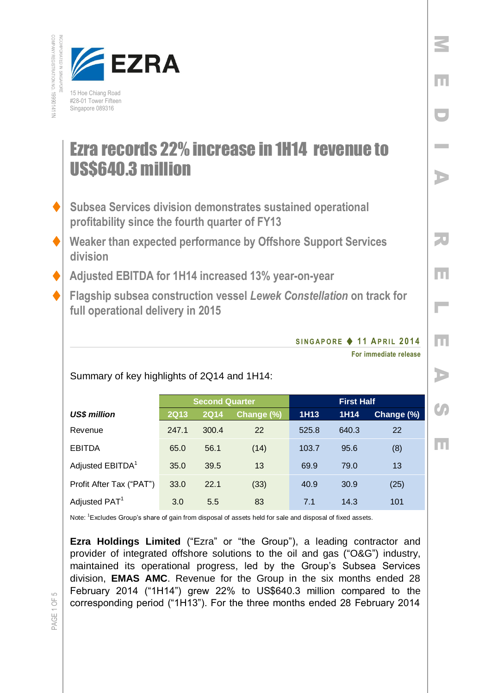

## Ezra records 22% increase in 1H14 revenue to US\$640.3 million

- **Subsea Services division demonstrates sustained operational profitability since the fourth quarter of FY13**
- **Weaker than expected performance by Offshore Support Services division**
	- **Adjusted EBITDA for 1H14 increased 13% year-on-year**
- **Flagship subsea construction vessel** *Lewek Constellation* **on track for full operational delivery in 2015**

## **S I N G A P O R E 1 1 AP R I L 201 4**

**For immediate release** 

M

E

D

I

A

R

E

 $\overline{\phantom{a}}$ 

E

A

**SP** 

E

Summary of key highlights of 2Q14 and 1H14:

|                              | <b>Second Quarter</b> |             |            | <b>First Half</b> |       |            |
|------------------------------|-----------------------|-------------|------------|-------------------|-------|------------|
| <b>US\$ million</b>          | <b>2Q13</b>           | <b>2Q14</b> | Change (%) | 1H <sub>13</sub>  | 1H14  | Change (%) |
| Revenue                      | 247.1                 | 300.4       | 22         | 525.8             | 640.3 | 22         |
| <b>EBITDA</b>                | 65.0                  | 56.1        | (14)       | 103.7             | 95.6  | (8)        |
| Adjusted EBITDA <sup>1</sup> | 35.0                  | 39.5        | 13         | 69.9              | 79.0  | 13         |
| Profit After Tax ("PAT")     | 33.0                  | 22.1        | (33)       | 40.9              | 30.9  | (25)       |
| Adjusted PAT <sup>1</sup>    | 3.0                   | 5.5         | 83         | 7.1               | 14.3  | 101        |

Note: <sup>1</sup>Excludes Group's share of gain from disposal of assets held for sale and disposal of fixed assets.

**Ezra Holdings Limited** ("Ezra" or "the Group"), a leading contractor and provider of integrated offshore solutions to the oil and gas ("O&G") industry, maintained its operational progress, led by the Group's Subsea Services division, **EMAS AMC**. Revenue for the Group in the six months ended 28 February 2014 ("1H14") grew 22% to US\$640.3 million compared to the corresponding period ("1H13"). For the three months ended 28 February 2014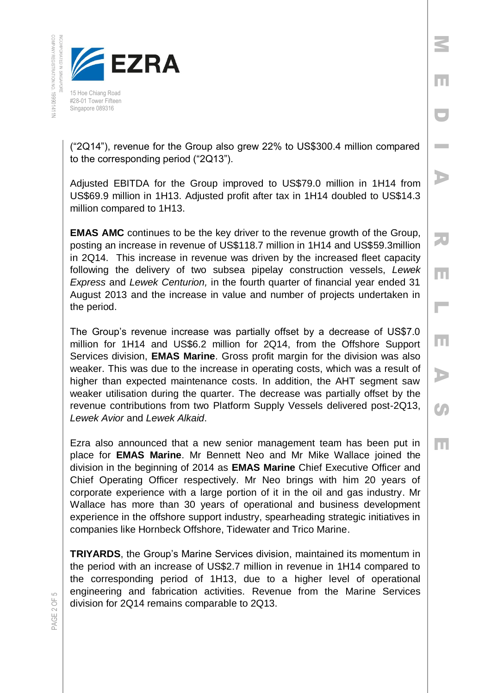

("2Q14"), revenue for the Group also grew 22% to US\$300.4 million compared to the corresponding period ("2Q13").

M

E

D

**Inches** 

A

R

E

 $\overline{\phantom{a}}$ 

E

A

**CA** 

E

Adjusted EBITDA for the Group improved to US\$79.0 million in 1H14 from US\$69.9 million in 1H13. Adjusted profit after tax in 1H14 doubled to US\$14.3 million compared to 1H13.

**EMAS AMC** continues to be the key driver to the revenue growth of the Group, posting an increase in revenue of US\$118.7 million in 1H14 and US\$59.3million in 2Q14. This increase in revenue was driven by the increased fleet capacity following the delivery of two subsea pipelay construction vessels, *Lewek Express* and *Lewek Centurion,* in the fourth quarter of financial year ended 31 August 2013 and the increase in value and number of projects undertaken in the period.

The Group's revenue increase was partially offset by a decrease of US\$7.0 million for 1H14 and US\$6.2 million for 2Q14, from the Offshore Support Services division, **EMAS Marine**. Gross profit margin for the division was also weaker. This was due to the increase in operating costs, which was a result of higher than expected maintenance costs. In addition, the AHT segment saw weaker utilisation during the quarter. The decrease was partially offset by the revenue contributions from two Platform Supply Vessels delivered post-2Q13, *Lewek Avior* and *Lewek Alkaid*.

Ezra also announced that a new senior management team has been put in place for **EMAS Marine**. Mr Bennett Neo and Mr Mike Wallace joined the division in the beginning of 2014 as **EMAS Marine** Chief Executive Officer and Chief Operating Officer respectively. Mr Neo brings with him 20 years of corporate experience with a large portion of it in the oil and gas industry. Mr Wallace has more than 30 years of operational and business development experience in the offshore support industry, spearheading strategic initiatives in companies like Hornbeck Offshore, Tidewater and Trico Marine.

**TRIYARDS**, the Group's Marine Services division, maintained its momentum in the period with an increase of US\$2.7 million in revenue in 1H14 compared to the corresponding period of 1H13, due to a higher level of operational engineering and fabrication activities. Revenue from the Marine Services division for 2Q14 remains comparable to 2Q13.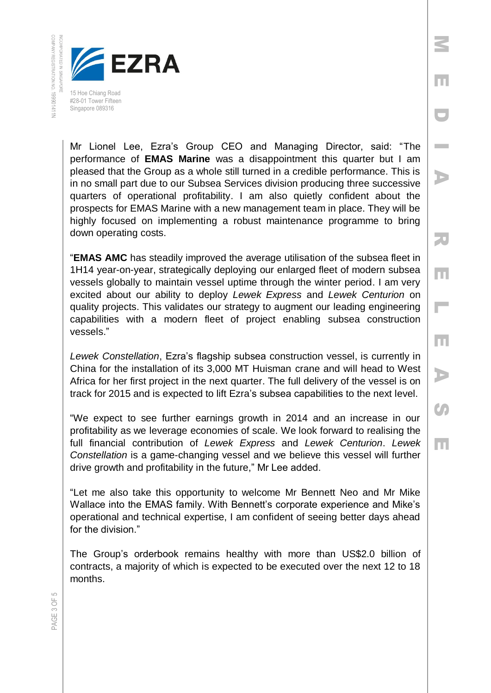

Mr Lionel Lee, Ezra's Group CEO and Managing Director, said: "The performance of **EMAS Marine** was a disappointment this quarter but I am pleased that the Group as a whole still turned in a credible performance. This is in no small part due to our Subsea Services division producing three successive quarters of operational profitability. I am also quietly confident about the prospects for EMAS Marine with a new management team in place. They will be highly focused on implementing a robust maintenance programme to bring down operating costs.

M

E

D

I

A

R

E

 $\overline{\phantom{a}}$ 

E

A

**CA** 

E

"**EMAS AMC** has steadily improved the average utilisation of the subsea fleet in 1H14 year-on-year, strategically deploying our enlarged fleet of modern subsea vessels globally to maintain vessel uptime through the winter period. I am very excited about our ability to deploy *Lewek Express* and *Lewek Centurion* on quality projects. This validates our strategy to augment our leading engineering capabilities with a modern fleet of project enabling subsea construction vessels."

*Lewek Constellation*, Ezra's flagship subsea construction vessel, is currently in China for the installation of its 3,000 MT Huisman crane and will head to West Africa for her first project in the next quarter. The full delivery of the vessel is on track for 2015 and is expected to lift Ezra's subsea capabilities to the next level.

"We expect to see further earnings growth in 2014 and an increase in our profitability as we leverage economies of scale. We look forward to realising the full financial contribution of *Lewek Express* and *Lewek Centurion*. *Lewek Constellation* is a game-changing vessel and we believe this vessel will further drive growth and profitability in the future," Mr Lee added.

"Let me also take this opportunity to welcome Mr Bennett Neo and Mr Mike Wallace into the EMAS family. With Bennett's corporate experience and Mike's operational and technical expertise, I am confident of seeing better days ahead for the division."

The Group's orderbook remains healthy with more than US\$2.0 billion of contracts, a majority of which is expected to be executed over the next 12 to 18 months.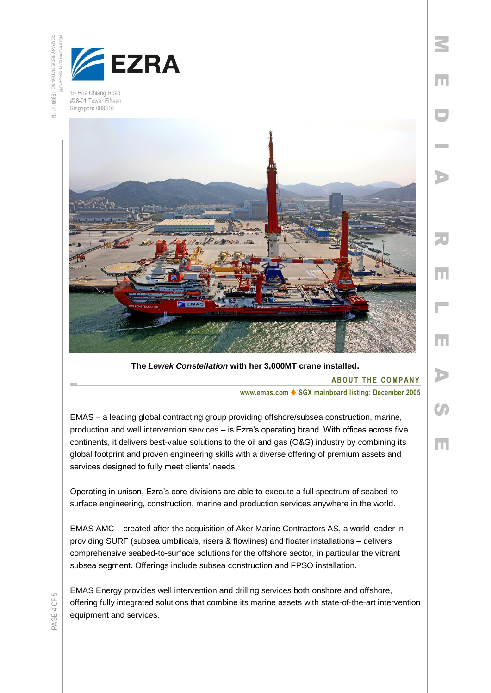



15 Hoe Chiang Road #28-01 Tower Fifteen Singapore 089316



**The** *Lewek Constellation* **with her 3,000MT crane installed.**

**ABOUT THE COMPANY** 

M

E

D

**Inches** 

A

R

E

L

E

A

 $\mathcal{O}$ 

 $\overline{\mathbf{E}}$ 

**www.emas.com ♦ SGX mainboard listing: December 2005** 

EMAS – a leading global contracting group providing offshore/subsea construction, marine, production and well intervention services – is Ezra's operating brand. With offices across five continents, it delivers best-value solutions to the oil and gas (O&G) industry by combining its global footprint and proven engineering skills with a diverse offering of premium assets and services designed to fully meet clients' needs.

Operating in unison, Ezra's core divisions are able to execute a full spectrum of seabed-tosurface engineering, construction, marine and production services anywhere in the world.

EMAS AMC – created after the acquisition of Aker Marine Contractors AS, a world leader in providing SURF (subsea umbilicals, risers & flowlines) and floater installations – delivers comprehensive seabed-to-surface solutions for the offshore sector, in particular the vibrant subsea segment. Offerings include subsea construction and FPSO installation.

EMAS Energy provides well intervention and drilling services both onshore and offshore, offering fully integrated solutions that combine its marine assets with state-of-the-art intervention equipment and services.

PAGE 4 OF 5